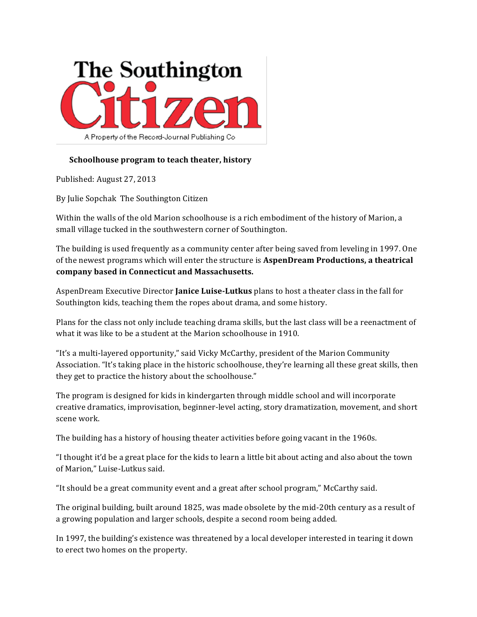

## **Schoolhouse program to teach theater, history**

Published: August 27, 2013

By Julie Sopchak The Southington Citizen

Within the walls of the old Marion schoolhouse is a rich embodiment of the history of Marion, a small village tucked in the southwestern corner of Southington.

The building is used frequently as a community center after being saved from leveling in 1997. One of the newest programs which will enter the structure is **AspenDream Productions, a theatrical company based in Connecticut and Massachusetts.**

AspenDream Executive Director **Janice Luise-Lutkus** plans to host a theater class in the fall for Southington kids, teaching them the ropes about drama, and some history.

Plans for the class not only include teaching drama skills, but the last class will be a reenactment of what it was like to be a student at the Marion schoolhouse in 1910.

"It's a multi-layered opportunity," said Vicky McCarthy, president of the Marion Community Association. "It's taking place in the historic schoolhouse, they're learning all these great skills, then they get to practice the history about the schoolhouse."

The program is designed for kids in kindergarten through middle school and will incorporate creative dramatics, improvisation, beginner-level acting, story dramatization, movement, and short scene work.

The building has a history of housing theater activities before going vacant in the 1960s.

"I thought it'd be a great place for the kids to learn a little bit about acting and also about the town of Marion," Luise-Lutkus said.

"It should be a great community event and a great after school program," McCarthy said.

The original building, built around 1825, was made obsolete by the mid-20th century as a result of a growing population and larger schools, despite a second room being added.

In 1997, the building's existence was threatened by a local developer interested in tearing it down to erect two homes on the property.